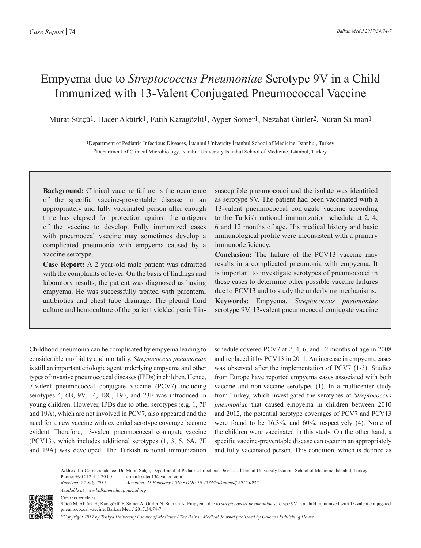## Empyema due to *Streptococcus Pneumoniae* Serotype 9V in a Child Immunized with 13-Valent Conjugated Pneumococcal Vaccine

Murat Sütçü1, Hacer Aktürk1, Fatih Karagözlü1, Ayper Somer1, Nezahat Gürler2, Nuran Salman1

1Department of Pediatric Infectious Diseases, İstanbul University İstanbul School of Medicine, İstanbul, Turkey 2Department of Clinical Microbiology, İstanbul University İstanbul School of Medicine, İstanbul, Turkey

**Background:** Clinical vaccine failure is the occurence of the specific vaccine-preventable disease in an appropriately and fully vaccinated person after enough time has elapsed for protection against the antigens of the vaccine to develop. Fully immunized cases with pneumoccal vaccine may sometimes develop a complicated pneumonia with empyema caused by a vaccine serotype.

**Case Report:** A 2 year-old male patient was admitted with the complaints of fever. On the basis of findings and laboratory results, the patient was diagnosed as having empyema. He was successfully treated with parenteral antibiotics and chest tube drainage. The pleural fluid culture and hemoculture of the patient yielded penicillinsusceptible pneumococci and the isolate was identified as serotype 9V. The patient had been vaccinated with a 13-valent pneumococcal conjugate vaccine according to the Turkish national immunization schedule at 2, 4, 6 and 12 months of age. His medical history and basic immunological profile were inconsistent with a primary immunodeficiency.

**Conclusion:** The failure of the PCV13 vaccine may results in a complicated pneumonia with empyema. It is important to investigate serotypes of pneumococci in these cases to determine other possible vaccine failures due to PCV13 and to study the underlying mechanisms. **Keywords:** Empyema, *Streptococcus pneumoniae*  serotype 9V, 13-valent pneumococcal conjugate vaccine

Childhood pneumonia can be complicated by empyema leading to considerable morbidity and mortality. *Streptococcus pneumoniae* is still an important etiologic agent underlying empyema and other types of invasive pneumococcal diseases (IPDs) in children. Hence, 7-valent pneumococcal conjugate vaccine (PCV7) including serotypes 4, 6B, 9V, 14, 18C, 19F, and 23F was introduced in young children. However, IPDs due to other serotypes (e.g. 1, 7F and 19A), which are not involved in PCV7, also appeared and the need for a new vaccine with extended serotype coverage become evident. Therefore, 13-valent pneumococcal conjugate vaccine (PCV13), which includes additional serotypes (1, 3, 5, 6A, 7F and 19A) was developed. The Turkish national immunization schedule covered PCV7 at 2, 4, 6, and 12 months of age in 2008 and replaced it by PCV13 in 2011. An increase in empyema cases was observed after the implementation of PCV7 (1-3). Studies from Europe have reported empyema cases associated with both vaccine and non-vaccine serotypes (1). In a multicenter study from Turkey, which investigated the serotypes of *Streptococcus pneumoniae* that caused empyema in children between 2010 and 2012, the potential serotype coverages of PCV7 and PCV13 were found to be 16.3%, and 60%, respectively (4). None of the children were vaccinated in this study. On the other hand, a specific vaccine-preventable disease can occur in an appropriately and fully vaccinated person. This condition, which is defined as

Address for Correspondence: Dr. Murat Sütçü, Department of Pediatric Infectious Diseases, İstanbul University İstanbul School of Medicine, İstanbul, Turkey Phone: +90 212 414 20 00 e-mail: sutcu13@yahoo.com

*Received: 27 July 2015 Accepted: 11 February 2016 • DOI: 10.4274/balkanmedj.2015.0937 Available at www.balkanmedicaljournal.org*



Cite this article as:

Sütçü M, Aktürk H, Karagözlü F, Somer A, Gürler N, Salman N. Empyema due to *streptococcus pneumoniae* serotype 9V in a child immunized with 13-valent conjugated pneumococcal vaccine. Balkan Med J 2017;34:74-7

*©Copyright 2017 by Trakya University Faculty of Medicine / The Balkan Medical Journal published by Galenos Publishing House.*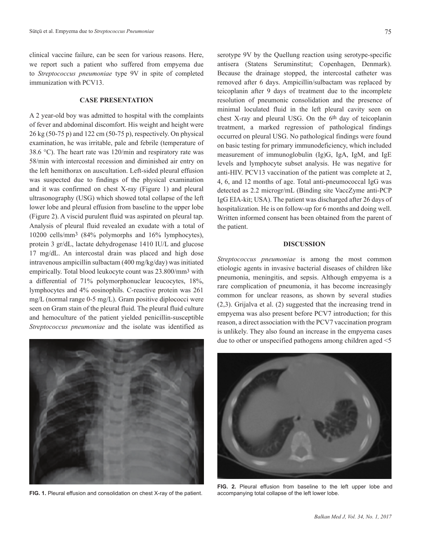clinical vaccine failure, can be seen for various reasons. Here, we report such a patient who suffered from empyema due to *Streptococcus pneumoniae* type 9V in spite of completed immunization with PCV13.

## **CASE PRESENTATION**

A 2 year-old boy was admitted to hospital with the complaints of fever and abdominal discomfort. His weight and height were 26 kg (50-75 p) and 122 cm (50-75 p), respectively. On physical examination, he was irritable, pale and febrile (temperature of 38.6 °C). The heart rate was 120/min and respiratory rate was 58/min with intercostal recession and diminished air entry on the left hemithorax on auscultation. Left-sided pleural effusion was suspected due to findings of the physical examination and it was confirmed on chest X-ray (Figure 1) and pleural ultrasonography (USG) which showed total collapse of the left lower lobe and pleural effusion from baseline to the upper lobe (Figure 2). A viscid purulent fluid was aspirated on pleural tap. Analysis of pleural fluid revealed an exudate with a total of 10200 cells/mm3 (84% polymorphs and 16% lymphocytes), protein 3 gr/dL, lactate dehydrogenase 1410 IU/L and glucose 17 mg/dL. An intercostal drain was placed and high dose intravenous ampicillin sulbactam (400 mg/kg/day) was initiated empirically. Total blood leukocyte count was 23.800/mm3 with a differential of 71% polymorphonuclear leucocytes, 18%, lymphocytes and 4% eosinophils. C-reactive protein was 261 mg/L (normal range 0-5 mg/L). Gram positive diplococci were seen on Gram stain of the pleural fluid. The pleural fluid culture and hemoculture of the patient yielded penicillin-susceptible *Streptococcus pneumoniae* and the isolate was identified as



**FIG. 1.** Pleural effusion and consolidation on chest X-ray of the patient.

serotype 9V by the Quellung reaction using serotype-specific antisera (Statens Seruminstitut; Copenhagen, Denmark). Because the drainage stopped, the intercostal catheter was removed after 6 days. Ampicillin/sulbactam was replaced by teicoplanin after 9 days of treatment due to the incomplete resolution of pneumonic consolidation and the presence of minimal loculated fluid in the left pleural cavity seen on chest X-ray and pleural USG. On the 6th day of teicoplanin treatment, a marked regression of pathological findings occurred on pleural USG. No pathological findings were found on basic testing for primary immunodeficiency, which included measurement of immunoglobulin (Ig)G, IgA, IgM, and IgE levels and lymphocyte subset analysis. He was negative for anti-HIV. PCV13 vaccination of the patient was complete at 2, 4, 6, and 12 months of age. Total anti-pneumococcal IgG was detected as 2.2 microgr/mL (Binding site VaccZyme anti-PCP IgG EIA-kit; USA). The patient was discharged after 26 days of hospitalization. He is on follow-up for 6 months and doing well. Written informed consent has been obtained from the parent of the patient.

## **DISCUSSION**

*Streptococcus pneumoniae* is among the most common etiologic agents in invasive bacterial diseases of children like pneumonia, meningitis, and sepsis. Although empyema is a rare complication of pneumonia, it has become increasingly common for unclear reasons, as shown by several studies (2,3). Grijalva et al. (2) suggested that the increasing trend in empyema was also present before PCV7 introduction; for this reason, a direct association with the PCV7 vaccination program is unlikely. They also found an increase in the empyema cases due to other or unspecified pathogens among children aged <5



**FIG. 2.** Pleural effusion from baseline to the left upper lobe and accompanying total collapse of the left lower lobe.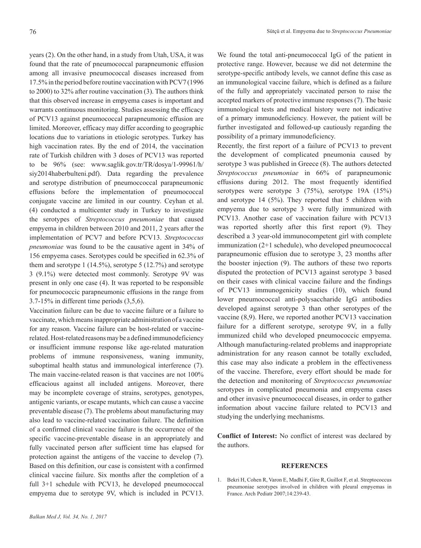years (2). On the other hand, in a study from Utah, USA, it was found that the rate of pneumococcal parapneumonic effusion among all invasive pneumococcal diseases increased from 17.5% in the period before routine vaccination with PCV7 (1996 to 2000) to 32% after routine vaccination (3). The authors think that this observed increase in empyema cases is important and warrants continuous monitoring. Studies assessing the efficacy of PCV13 against pneumococcal parapneumonic effusion are limited. Moreover, efficacy may differ according to geographic locations due to variations in etiologic serotypes. Turkey has high vaccination rates. By the end of 2014, the vaccination rate of Turkish children with 3 doses of PCV13 was reported to be 96% (see: www.saglik.gov.tr/TR/dosya/1-99961/h/ siy2014haberbulteni.pdf). Data regarding the prevalence and serotype distribution of pneumoccoccal parapneumonic effusions before the implementation of pneumococcal conjugate vaccine are limited in our country. Ceyhan et al. (4) conducted a multicenter study in Turkey to investigate the serotypes of *Streptococcus pneumoniae* that caused empyema in children between 2010 and 2011, 2 years after the implementation of PCV7 and before PCV13. *Streptococcus pneumoniae* was found to be the causative agent in 34% of 156 empyema cases. Serotypes could be specified in 62.3% of them and serotype  $1$  (14.5%), serotype  $5$  (12.7%) and serotype 3 (9.1%) were detected most commonly. Serotype 9V was present in only one case (4). It was reported to be responsible for pneumococcic parapneumonic effusions in the range from 3.7-15% in different time periods (3,5,6).

Vaccination failure can be due to vaccine failure or a failure to vaccinate, which means inappropriate administration of a vaccine for any reason. Vaccine failure can be host-related or vaccinerelated. Host-related reasons may be a defined immunodeficiency or insufficient immune response like age-related maturation problems of immune responsiveness, waning immunity, suboptimal health status and immunological interference (7). The main vaccine-related reason is that vaccines are not 100% efficacious against all included antigens. Moreover, there may be incomplete coverage of strains, serotypes, genotypes, antigenic variants, or escape mutants, which can cause a vaccine preventable disease (7). The problems about manufacturing may also lead to vaccine-related vaccination failure. The definition of a confirmed clinical vaccine failure is the occurrence of the specific vaccine-preventable disease in an appropriately and fully vaccinated person after sufficient time has elapsed for protection against the antigens of the vaccine to develop (7). Based on this definition, our case is consistent with a confirmed clinical vaccine failure. Six months after the completion of a full 3+1 schedule with PCV13, he developed pneumococcal empyema due to serotype 9V, which is included in PCV13.

We found the total anti-pneumococcal IgG of the patient in protective range. However, because we did not determine the serotype-specific antibody levels, we cannot define this case as an immunological vaccine failure, which is defined as a failure of the fully and appropriately vaccinated person to raise the accepted markers of protective immune responses (7). The basic immunological tests and medical history were not indicative of a primary immunodeficiency. However, the patient will be further investigated and followed-up cautiously regarding the possibility of a primary immunodeficiency.

Recently, the first report of a failure of PCV13 to prevent the development of complicated pneumonia caused by serotype 3 was published in Greece (8). The authors detected *Streptococcus pneumoniae* in 66% of parapneumonic effusions during 2012. The most frequently identified serotypes were serotype 3 (75%), serotype 19A (15%) and serotype 14 (5%). They reported that 5 children with empyema due to serotype 3 were fully immunized with PCV13. Another case of vaccination failure with PCV13 was reported shortly after this first report (9). They described a 3 year-old immunocompetent girl with complete immunization (2+1 schedule), who developed pneumococcal parapneumonic effusion due to serotype 3, 23 months after the booster injection (9). The authors of these two reports disputed the protection of PCV13 against serotype 3 based on their cases with clinical vaccine failure and the findings of PCV13 immunogenicity studies (10), which found lower pneumococcal anti-polysaccharide IgG antibodies developed against serotype 3 than other serotypes of the vaccine (8,9). Here, we reported another PCV13 vaccination failure for a different serotype, serotype 9V, in a fully immunized child who developed pneumococcic empyema. Although manufacturing-related problems and inappropriate administration for any reason cannot be totally excluded, this case may also indicate a problem in the effectiveness of the vaccine. Therefore, every effort should be made for the detection and monitoring of *Streptococcus pneumoniae* serotypes in complicated pneumonia and empyema cases and other invasive pneumococcal diseases, in order to gather information about vaccine failure related to PCV13 and studying the underlying mechanisms.

**Conflict of Interest:** No conflict of interest was declared by the authors.

## **REFERENCES**

1. Bekri H, Cohen R, Varon E, Madhi F, Gire R, Guillot F, et al. Streptococcus pneumoniae serotypes involved in children with pleural empyemas in France. Arch Pediatr 2007;14:239-43.